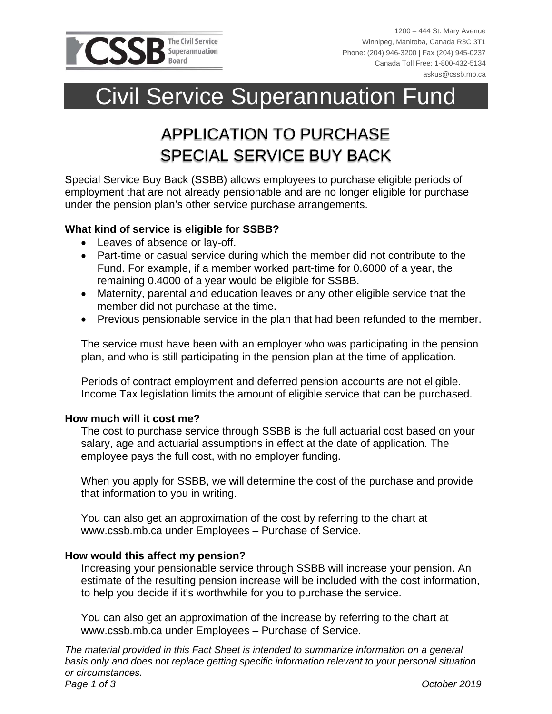

1200 – 444 St. Mary Avenue Winnipeg, Manitoba, Canada R3C 3T1 Phone: (204) 946-3200 | Fax (204) 945-0237 Canada Toll Free: 1-800-432-5134 askus@cssb.mb.ca

# Civil Service Superannuation Fund

# APPLICATION TO PURCHASE SPECIAL SERVICE BUY BACK

Special Service Buy Back (SSBB) allows employees to purchase eligible periods of employment that are not already pensionable and are no longer eligible for purchase under the pension plan's other service purchase arrangements.

### **What kind of service is eligible for SSBB?**

- Leaves of absence or lay-off.
- Part-time or casual service during which the member did not contribute to the Fund. For example, if a member worked part-time for 0.6000 of a year, the remaining 0.4000 of a year would be eligible for SSBB.
- Maternity, parental and education leaves or any other eligible service that the member did not purchase at the time.
- Previous pensionable service in the plan that had been refunded to the member.

The service must have been with an employer who was participating in the pension plan, and who is still participating in the pension plan at the time of application.

Periods of contract employment and deferred pension accounts are not eligible. Income Tax legislation limits the amount of eligible service that can be purchased.

#### **How much will it cost me?**

The cost to purchase service through SSBB is the full actuarial cost based on your salary, age and actuarial assumptions in effect at the date of application. The employee pays the full cost, with no employer funding.

When you apply for SSBB, we will determine the cost of the purchase and provide that information to you in writing.

You can also get an approximation of the cost by referring to the chart at www.cssb.mb.ca under Employees – Purchase of Service.

#### **How would this affect my pension?**

Increasing your pensionable service through SSBB will increase your pension. An estimate of the resulting pension increase will be included with the cost information, to help you decide if it's worthwhile for you to purchase the service.

You can also get an approximation of the increase by referring to the chart at www.cssb.mb.ca under Employees – Purchase of Service.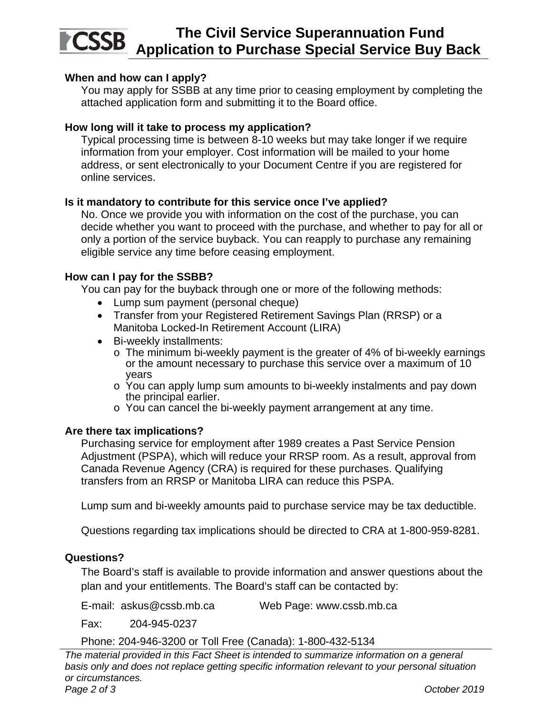#### **The Civil Service Superannuation Fund CSSB Application to Purchase Special Service Buy Back**

#### **When and how can I apply?**

You may apply for SSBB at any time prior to ceasing employment by completing the attached application form and submitting it to the Board office.

#### **How long will it take to process my application?**

Typical processing time is between 8-10 weeks but may take longer if we require information from your employer. Cost information will be mailed to your home address, or sent electronically to your Document Centre if you are registered for online services.

#### **Is it mandatory to contribute for this service once I've applied?**

No. Once we provide you with information on the cost of the purchase, you can decide whether you want to proceed with the purchase, and whether to pay for all or only a portion of the service buyback. You can reapply to purchase any remaining eligible service any time before ceasing employment.

#### **How can I pay for the SSBB?**

You can pay for the buyback through one or more of the following methods:

- Lump sum payment (personal cheque)
- Transfer from your Registered Retirement Savings Plan (RRSP) or a Manitoba Locked-In Retirement Account (LIRA)
- Bi-weekly installments:
	- o The minimum bi-weekly payment is the greater of 4% of bi-weekly earnings or the amount necessary to purchase this service over a maximum of 10 years
	- $\circ$  You can apply lump sum amounts to bi-weekly instalments and pay down the principal earlier.
	- o You can cancel the bi-weekly payment arrangement at any time.

#### **Are there tax implications?**

Purchasing service for employment after 1989 creates a Past Service Pension Adjustment (PSPA), which will reduce your RRSP room. As a result, approval from Canada Revenue Agency (CRA) is required for these purchases. Qualifying transfers from an RRSP or Manitoba LIRA can reduce this PSPA.

Lump sum and bi-weekly amounts paid to purchase service may be tax deductible.

Questions regarding tax implications should be directed to CRA at 1-800-959-8281.

#### **Questions?**

The Board's staff is available to provide information and answer questions about the plan and your entitlements. The Board's staff can be contacted by:

E-mail: askus@cssb.mb.ca Web Page: www.cssb.mb.ca

Fax: 204-945-0237

Phone: 204-946-3200 or Toll Free (Canada): 1-800-432-5134

*The material provided in this Fact Sheet is intended to summarize information on a general basis only and does not replace getting specific information relevant to your personal situation or circumstances.*  Page 2 of 3 October 2019